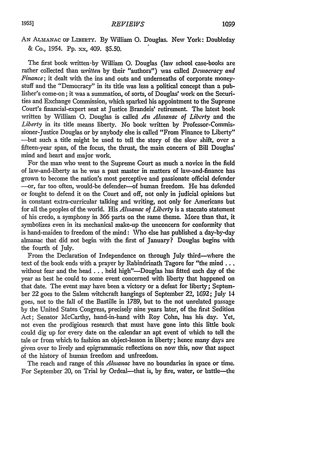AN **ALMANAC** OF LIBERTY. By William **0.** Douglas. New York: Doubleday & Co., 1954. Pp. xx, 409. \$5.50.

The first book written-by William **0.** Douglas (law school case-books are rather collected than *written* by their "authors") was called *Democracy and Finance;* it dealt with the ins and outs and underneaths of corporate moneystuff and the "Democracy" in its title was less a political concept than a publisher's come-on; it was a summation, of sorts, of Douglas' work on the Securities and Exchange Commission, which sparked his appointment to the Supreme Court's financial-expert seat at Justice Brandeis' retirement. The latest book written by William O. Douglas is called *An Almanac of Liberty* and the *Liberty* in its title means liberty. No book written by Professor-Commissioner-Justice Douglas or by anybody else is called "From Finance to Liberty" -but such a title might be used to tell the story of the slow shift, over a fifteen-year span, of the focus, the thrust, the main concern of Bill Douglas' mind and heart and major work.

For the man who went to the Supreme Court as much a novice in the field of law-and-liberty as he was a past master in matters of law-and-finance has grown to become the nation's most perceptive and passionate official defender -or, far too often, would-be defender-of human freedom. He has defended or fought to defend it on the Court and off, not only in judicial opinions but in constant extra-curricular talking and writing, not only for Americans but for all the peoples of the world. His *Almanac of Liberty* is a staccato statement of his credo, a symphony in **366** parts on the same theme. More than that, it symbolizes even in its mechanical make-up the unconcern for conformity that is hand-maiden to freedom of the mind: Who else has published a day-by-day almanac that did not begin with the first of January? Douglas begins with the fourth of July.

From the Declaration of Independence on through July third-where the text of the book ends with a prayer by Rabindrinath Tagore for "the mind ... without fear and the head . . . held high"-Douglas has fitted each day of the year as best he could to some event concerned with liberty that happened on that date. The event may have been a victory or a defeat for liberty; September 22 goes to the Salem witchcraft hangings of September 22, 1692; July 14 goes, not to the fall of the Bastille in 1789, but to the not unrelated passage by the United States Congress, precisely nine years later, of the first Sedition Act; Senator McCarthy, hand-in-hand with Roy Cohn, has his day. Yet, not even the prodigious research that must have gone into this little book could dig up for every date on the calendar an apt event of which to tell the tale or from which to fashion an object-lesson in liberty; hence many days are given over to lively and epigrammatic reflections on now this, now that aspect of the history of human freedom and unfreedom.

The reach and range of this *Alananac* have no boundaries in space or time. For September 20, on Trial by Ordeal-that is, by fire, water, or battle-the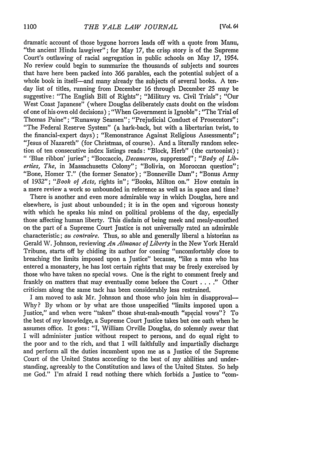dramatic account of those bygone horrors leads off with a quote from Manu, "the ancient Hindu lawgiver"; for May 17, the crisp story is of the Supreme Court's outlawing of racial segregation in public schools on May 17, 1954. No review could begin to summarize the thousands of subjects and sources that have here been packed into 366 parables, each the potential subject of a whole book in itself-and many already the subjects of several books. A tenday list of titles, running from December 16 through December 25 may **be** suggestive: "The English Bill of Rights"; "Military vs. Civil Trials"; "Our West Coast Japanese" (where Douglas deliberately casts doubt on the wisdom of one of his own old decisions) ; "When Government is Ignoble"; "The Trial of Thomas Paine"; "Runaway Seamen"; "Prejudicial Conduct of Prosecutors"; "The Federal Reserve System" (a hark-back, but with a libertarian twist, to the financial-expert days) ; "Remonstrance Against Religious Assessments"; "Jesus of Nazareth" (for Christmas, of course). And a literally random selection of ten consecutive index listings reads: "Block, Herb" (the cartoonist) **;** *"* 'Blue ribbon' juries"; "Boccaccio, *Decaneron,* suppressed"; *"Body of Liberties, The,* in Massachusetts Colony"; "Bolivia, on Moroccan question"; "Bone, Homer T." (the former Senator); "Bonneville Dam"; "Bonus Army of 1932"; *"Book of Acts,* rights in"; "Books, Milton on." How contain in a mere review a work so unbounded in reference as well as in space and time?

There is another and even more admirable way in which Douglas, here and elsewhere, is just about unbounded; it is in the open and vigorous honesty with which he speaks his mind on political problems of the day, especially those affecting human liberty. This disdain of being meek and mealy-mouthed on the part of a Supreme Court Justice is not universally rated an admirable characteristic; *au contraire.* Thus, so able and generally liberal a historian as Gerald W. Johnson, reviewing *An Alnanac of Liberty* in the New York Herald Tribune, starts off by chiding its author for coming "uncomfortably close to breaching the limits imposed upon a Justice" because, "like a man who has entered a monastery, he has lost certain rights that may be freely exercised by those who have taken no special vows. One is the right to comment freely and frankly on matters that may eventually come before the Court . **. . ."** Other criticism along the same tack has been considerably less restrained.

I am moved to ask Mr. Johnson and those who join him in disapproval-Why? By whom or by what are those unspecified "limits imposed upon a Justice," and when were "taken" those shut-mah-mouth "special vows"? To the best of my knowledge, a Supreme Court Justice takes but one oath when be assumes office. It goes: "I, William Orville Douglas, do solemnly swear that I will administer justice without respect to persons, and do equal right to the poor and to the rich, and that I will faithfully and impartially discharge and perform all the duties incumbent upon me as a Justice of the Supreme Court of the United States according to the best of my abilities and understanding, agreeably to the Constitution and laws of the United States. So help me God." I'm afraid I read nothing there which forbids a Justice to "com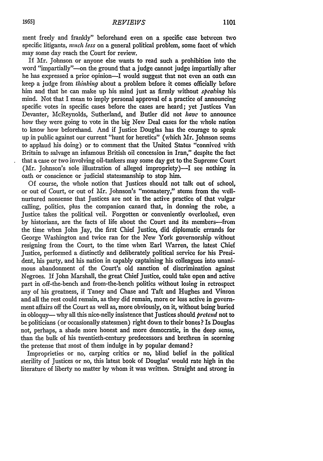ment freely and frankly" beforehand even on a specific case between two specific litigants, *much less* on a general political problem, some facet of which may some day reach the Court for review.

If Mr. Johnson or anyone else wants to read such a prohibition into the word "impartially"-on the ground that a judge cannot judge impartially after he has expressed a prior opinion-I would suggest that not even an oath can keep a judge from *thinking* about a problem before it comes officially before him and that he can make up his mind just as firmly without *speahing* his mind. Not that I mean to imply personal approval of a practice of announcing specific votes in specific cases before the cases are heard; yet Justices Van Devanter, McReynolds, Sutherland, and Butler did not *have* to announce how they were going to vote in the big New Deal cases for the whole nation to know how beforehand. And if Justice Douglas has the courage to speak up in public against our current "hunt for heretics" (which Air. Johnson seems to applaud his doing) or to comment that the United States "connived with Britain to salvage an infamous British oil concession in Iran," despite the fact that a case or two involving oil-tankers may some day get to the Supreme Court (Mr. Johnson's sole illustration of alleged impropriety)—I see nothing in oath or conscience or judicial statesmanship to stop him.

**Of** course, the whole notion that Justices should not talk out of school, or out of Court, or out of Mr. Johnson's "monastery," stems from the wellnurtured nonsense that Justices are not in the active practice of that vulgar calling, politics, plus the companion canard that, in donning the robe, a Justice takes the political veil. Forgotten or conveniently overlooked, even **by** historians, are the facts of life about the Court and its members--from the time when John Jay, the first Chief justice, did diplomatic errands for George Washington and twice ran for the New York governorship without resigning from the Court, to the time when Earl Warren, the latest Chief Justice, performed a distinctly and deliberately political service for his President, his party, and his nation in capably captaining his colleagues into unanimous abandonment of the Court's old sanction of discrimination against Negroes. If John Marshall, the great Chief Justice, could take open and active part in off-the-bench and from-the-bench politics without losing in retrospect any of his greatness, if Taney and Chase and Taft and Hughes and Vinson and all the rest could remain, as they did remain, more or less active in government affairs off the Court as well as, more obviously, on it, without being buried in obloquy- why all this nice-nelly insistence that Justices should *pretend* not to be politicians (or occasionally statesmen) right down to their bones? Is Douglas not, perhaps, a shade more honest and more democratic, in the deep sense, than the bulk of his twentieth-century predecessors and brethren in scorning the pretense that most of them indulge in **by** popular demand?

Improprieties or no, carping critics or no, blind belief in the political sterility of justices or no, this latest book of Douglas' would rate high in the literature of liberty no matter **by** whom it was written. Straight and strong in